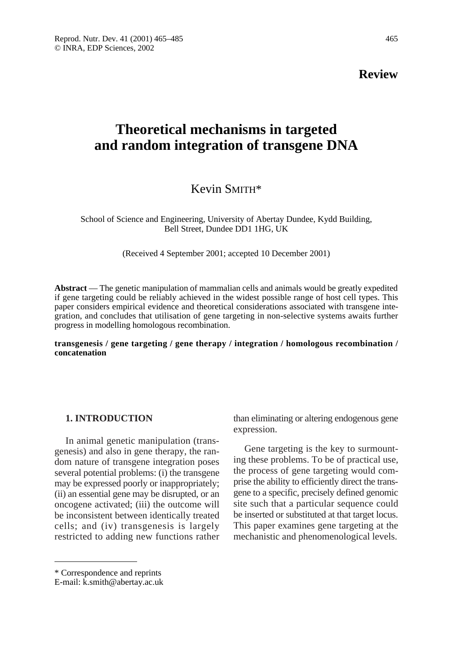**Review** 

# **Theoretical mechanisms in targeted and random integration of transgene DNA**

## Kevin SMITH\*

School of Science and Engineering, University of Abertay Dundee, Kydd Building, Bell Street, Dundee DD1 1HG, UK

(Received 4 September 2001; accepted 10 December 2001)

**Abstract** — The genetic manipulation of mammalian cells and animals would be greatly expedited if gene targeting could be reliably achieved in the widest possible range of host cell types. This paper considers empirical evidence and theoretical considerations associated with transgene integration, and concludes that utilisation of gene targeting in non-selective systems awaits further progress in modelling homologous recombination.

**transgenesis / gene targeting / gene therapy / integration / homologous recombination / concatenation**

## **1. INTRODUCTION**

In animal genetic manipulation (transgenesis) and also in gene therapy, the random nature of transgene integration poses several potential problems: (i) the transgene may be expressed poorly or inappropriately; (ii) an essential gene may be disrupted, or an oncogene activated; (iii) the outcome will be inconsistent between identically treated cells; and (iv) transgenesis is largely restricted to adding new functions rather

than eliminating or altering endogenous gene expression.

Gene targeting is the key to surmounting these problems. To be of practical use, the process of gene targeting would comprise the ability to efficiently direct the transgene to a specific, precisely defined genomic site such that a particular sequence could be inserted or substituted at that target locus. This paper examines gene targeting at the mechanistic and phenomenological levels.

<sup>\*</sup> Correspondence and reprints

E-mail: k.smith@abertay.ac.uk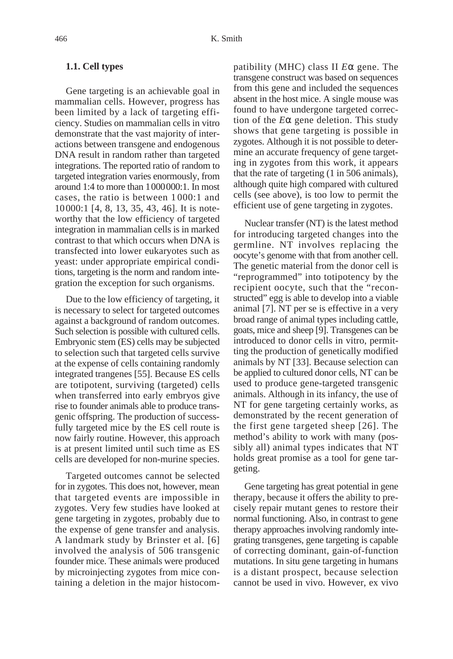## **1.1. Cell types**

Gene targeting is an achievable goal in mammalian cells. However, progress has been limited by a lack of targeting efficiency. Studies on mammalian cells in vitro demonstrate that the vast majority of interactions between transgene and endogenous DNA result in random rather than targeted integrations. The reported ratio of random to targeted integration varies enormously, from around 1:4 to more than 1000000:1. In most cases, the ratio is between 1000:1 and 10000:1 [4, 8, 13, 35, 43, 46]. It is noteworthy that the low efficiency of targeted integration in mammalian cells is in marked contrast to that which occurs when DNA is transfected into lower eukaryotes such as yeast: under appropriate empirical conditions, targeting is the norm and random integration the exception for such organisms.

Due to the low efficiency of targeting, it is necessary to select for targeted outcomes against a background of random outcomes. Such selection is possible with cultured cells. Embryonic stem (ES) cells may be subjected to selection such that targeted cells survive at the expense of cells containing randomly integrated trangenes [55]. Because ES cells are totipotent, surviving (targeted) cells when transferred into early embryos give rise to founder animals able to produce transgenic offspring. The production of successfully targeted mice by the ES cell route is now fairly routine. However, this approach is at present limited until such time as ES cells are developed for non-murine species.

Targeted outcomes cannot be selected for in zygotes. This does not, however, mean that targeted events are impossible in zygotes. Very few studies have looked at gene targeting in zygotes, probably due to the expense of gene transfer and analysis. A landmark study by Brinster et al*.* [6] involved the analysis of 506 transgenic founder mice. These animals were produced by microinjecting zygotes from mice containing a deletion in the major histocompatibility (MHC) class II *E*α gene. The transgene construct was based on sequences from this gene and included the sequences absent in the host mice. A single mouse was found to have undergone targeted correction of the *E*α gene deletion. This study shows that gene targeting is possible in zygotes. Although it is not possible to determine an accurate frequency of gene targeting in zygotes from this work, it appears that the rate of targeting (1 in 506 animals), although quite high compared with cultured cells (see above), is too low to permit the efficient use of gene targeting in zygotes.

Nuclear transfer (NT) is the latest method for introducing targeted changes into the germline. NT involves replacing the oocyte's genome with that from another cell. The genetic material from the donor cell is "reprogrammed" into totipotency by the recipient oocyte, such that the "reconstructed" egg is able to develop into a viable animal [7]. NT per se is effective in a very broad range of animal types including cattle, goats, mice and sheep [9]. Transgenes can be introduced to donor cells in vitro, permitting the production of genetically modified animals by NT [33]. Because selection can be applied to cultured donor cells, NT can be used to produce gene-targeted transgenic animals. Although in its infancy, the use of NT for gene targeting certainly works, as demonstrated by the recent generation of the first gene targeted sheep [26]. The method's ability to work with many (possibly all) animal types indicates that NT holds great promise as a tool for gene targeting.

Gene targeting has great potential in gene therapy, because it offers the ability to precisely repair mutant genes to restore their normal functioning. Also, in contrast to gene therapy approaches involving randomly integrating transgenes, gene targeting is capable of correcting dominant, gain-of-function mutations. In situ gene targeting in humans is a distant prospect, because selection cannot be used in vivo. However, ex vivo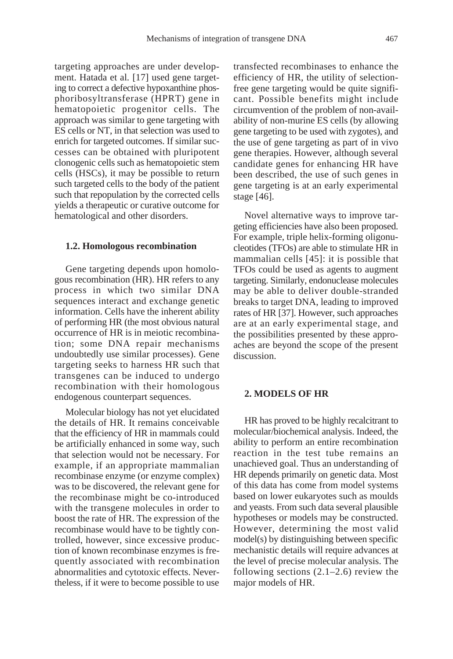targeting approaches are under development. Hatada et al*.* [17] used gene targeting to correct a defective hypoxanthine phosphoribosyltransferase (HPRT) gene in hematopoietic progenitor cells. The approach was similar to gene targeting with ES cells or NT, in that selection was used to enrich for targeted outcomes. If similar successes can be obtained with pluripotent clonogenic cells such as hematopoietic stem cells (HSCs), it may be possible to return such targeted cells to the body of the patient such that repopulation by the corrected cells yields a therapeutic or curative outcome for hematological and other disorders.

#### **1.2. Homologous recombination**

Gene targeting depends upon homologous recombination (HR). HR refers to any process in which two similar DNA sequences interact and exchange genetic information. Cells have the inherent ability of performing HR (the most obvious natural occurrence of HR is in meiotic recombination; some DNA repair mechanisms undoubtedly use similar processes). Gene targeting seeks to harness HR such that transgenes can be induced to undergo recombination with their homologous endogenous counterpart sequences.

Molecular biology has not yet elucidated the details of HR. It remains conceivable that the efficiency of HR in mammals could be artificially enhanced in some way, such that selection would not be necessary. For example, if an appropriate mammalian recombinase enzyme (or enzyme complex) was to be discovered, the relevant gene for the recombinase might be co-introduced with the transgene molecules in order to boost the rate of HR. The expression of the recombinase would have to be tightly controlled, however, since excessive production of known recombinase enzymes is frequently associated with recombination abnormalities and cytotoxic effects. Nevertheless, if it were to become possible to use transfected recombinases to enhance the efficiency of HR, the utility of selectionfree gene targeting would be quite significant. Possible benefits might include circumvention of the problem of non-availability of non-murine ES cells (by allowing gene targeting to be used with zygotes), and the use of gene targeting as part of in vivo gene therapies. However, although several candidate genes for enhancing HR have been described, the use of such genes in gene targeting is at an early experimental stage [46].

Novel alternative ways to improve targeting efficiencies have also been proposed. For example, triple helix-forming oligonucleotides (TFOs) are able to stimulate HR in mammalian cells [45]: it is possible that TFOs could be used as agents to augment targeting. Similarly, endonuclease molecules may be able to deliver double-stranded breaks to target DNA, leading to improved rates of HR [37]. However, such approaches are at an early experimental stage, and the possibilities presented by these approaches are beyond the scope of the present discussion.

## **2. MODELS OF HR**

HR has proved to be highly recalcitrant to molecular/biochemical analysis. Indeed, the ability to perform an entire recombination reaction in the test tube remains an unachieved goal. Thus an understanding of HR depends primarily on genetic data. Most of this data has come from model systems based on lower eukaryotes such as moulds and yeasts. From such data several plausible hypotheses or models may be constructed. However, determining the most valid model(s) by distinguishing between specific mechanistic details will require advances at the level of precise molecular analysis. The following sections (2.1–2.6) review the major models of HR.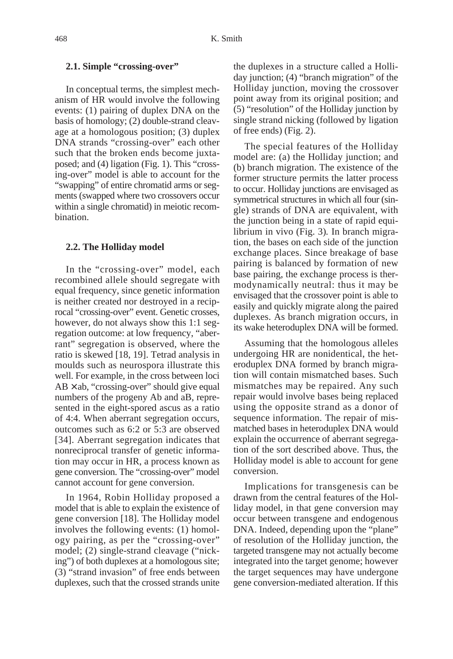## **2.1. Simple "crossing-over"**

In conceptual terms, the simplest mechanism of HR would involve the following events: (1) pairing of duplex DNA on the basis of homology; (2) double-strand cleavage at a homologous position; (3) duplex DNA strands "crossing-over" each other such that the broken ends become juxtaposed; and (4) ligation (Fig. 1). This "crossing-over" model is able to account for the "swapping" of entire chromatid arms or segments (swapped where two crossovers occur within a single chromatid) in meiotic recombination.

#### **2.2. The Holliday model**

In the "crossing-over" model, each recombined allele should segregate with equal frequency, since genetic information is neither created nor destroyed in a reciprocal "crossing-over" event. Genetic crosses, however, do not always show this 1:1 segregation outcome: at low frequency, "aberrant" segregation is observed, where the ratio is skewed [18, 19]. Tetrad analysis in moulds such as neurospora illustrate this well. For example, in the cross between loci  $AB \times ab$ , "crossing-over" should give equal numbers of the progeny Ab and aB, represented in the eight-spored ascus as a ratio of 4:4. When aberrant segregation occurs, outcomes such as 6:2 or 5:3 are observed [34]. Aberrant segregation indicates that nonreciprocal transfer of genetic information may occur in HR, a process known as gene conversion. The "crossing-over" model cannot account for gene conversion.

In 1964, Robin Holliday proposed a model that is able to explain the existence of gene conversion [18]. The Holliday model involves the following events: (1) homology pairing, as per the "crossing-over" model; (2) single-strand cleavage ("nicking") of both duplexes at a homologous site; (3) "strand invasion" of free ends between duplexes, such that the crossed strands unite

the duplexes in a structure called a Holliday junction; (4) "branch migration" of the Holliday junction, moving the crossover point away from its original position; and (5) "resolution" of the Holliday junction by single strand nicking (followed by ligation of free ends) (Fig. 2).

The special features of the Holliday model are: (a) the Holliday junction; and (b) branch migration. The existence of the former structure permits the latter process to occur. Holliday junctions are envisaged as symmetrical structures in which all four (single) strands of DNA are equivalent, with the junction being in a state of rapid equilibrium in vivo (Fig. 3)*.* In branch migration, the bases on each side of the junction exchange places. Since breakage of base pairing is balanced by formation of new base pairing, the exchange process is thermodynamically neutral: thus it may be envisaged that the crossover point is able to easily and quickly migrate along the paired duplexes. As branch migration occurs, in its wake heteroduplex DNA will be formed.

Assuming that the homologous alleles undergoing HR are nonidentical, the heteroduplex DNA formed by branch migration will contain mismatched bases. Such mismatches may be repaired. Any such repair would involve bases being replaced using the opposite strand as a donor of sequence information. The repair of mismatched bases in heteroduplex DNA would explain the occurrence of aberrant segregation of the sort described above. Thus, the Holliday model is able to account for gene conversion.

Implications for transgenesis can be drawn from the central features of the Holliday model, in that gene conversion may occur between transgene and endogenous DNA. Indeed, depending upon the "plane" of resolution of the Holliday junction, the targeted transgene may not actually become integrated into the target genome; however the target sequences may have undergone gene conversion-mediated alteration. If this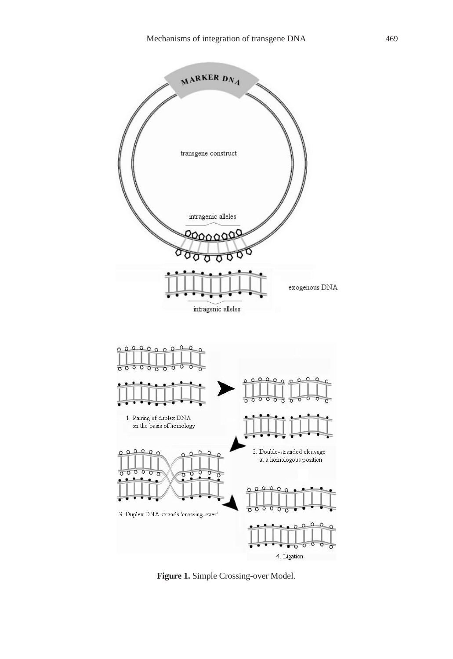

**Figure 1.** Simple Crossing-over Model.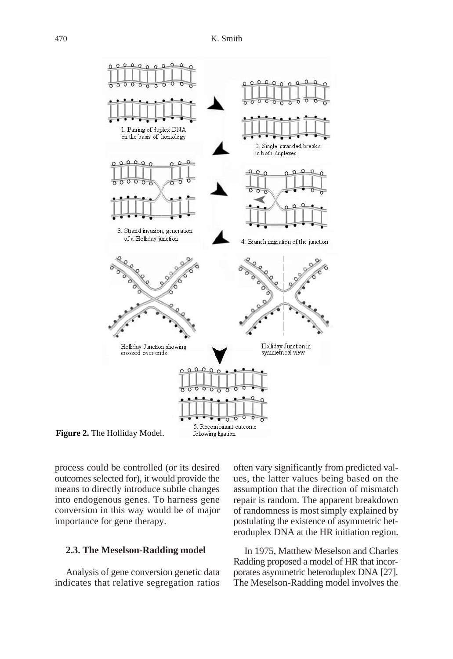

**Figure 2.** The Holliday Model.

process could be controlled (or its desired outcomes selected for), it would provide the means to directly introduce subtle changes into endogenous genes. To harness gene conversion in this way would be of major importance for gene therapy.

## **2.3. The Meselson-Radding model**

Analysis of gene conversion genetic data indicates that relative segregation ratios often vary significantly from predicted values, the latter values being based on the assumption that the direction of mismatch repair is random. The apparent breakdown of randomness is most simply explained by postulating the existence of asymmetric heteroduplex DNA at the HR initiation region.

In 1975, Matthew Meselson and Charles Radding proposed a model of HR that incorporates asymmetric heteroduplex DNA [27]. The Meselson-Radding model involves the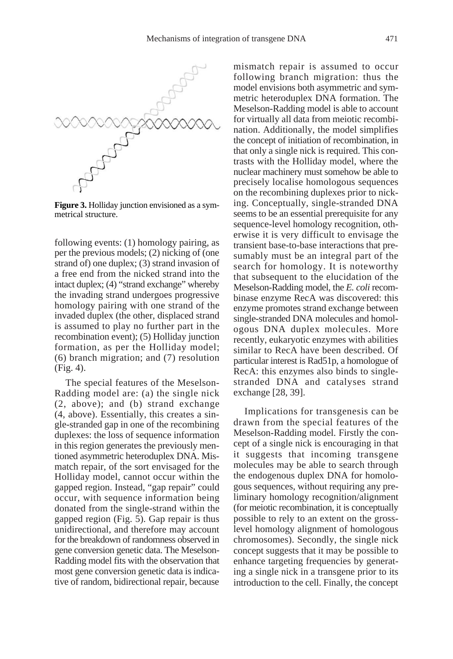

**Figure 3.** Holliday junction envisioned as a symmetrical structure.

following events: (1) homology pairing, as per the previous models; (2) nicking of (one strand of) one duplex; (3) strand invasion of a free end from the nicked strand into the intact duplex; (4) "strand exchange" whereby the invading strand undergoes progressive homology pairing with one strand of the invaded duplex (the other, displaced strand is assumed to play no further part in the recombination event); (5) Holliday junction formation, as per the Holliday model; (6) branch migration; and (7) resolution (Fig. 4).

The special features of the Meselson-Radding model are: (a) the single nick (2, above); and (b) strand exchange (4, above). Essentially, this creates a single-stranded gap in one of the recombining duplexes: the loss of sequence information in this region generates the previously mentioned asymmetric heteroduplex DNA. Mismatch repair, of the sort envisaged for the Holliday model, cannot occur within the gapped region. Instead, "gap repair" could occur, with sequence information being donated from the single-strand within the gapped region (Fig. 5). Gap repair is thus unidirectional, and therefore may account for the breakdown of randomness observed in gene conversion genetic data. The Meselson-Radding model fits with the observation that most gene conversion genetic data is indicative of random, bidirectional repair, because mismatch repair is assumed to occur following branch migration: thus the model envisions both asymmetric and symmetric heteroduplex DNA formation. The Meselson-Radding model is able to account for virtually all data from meiotic recombination. Additionally, the model simplifies the concept of initiation of recombination, in that only a single nick is required. This contrasts with the Holliday model, where the nuclear machinery must somehow be able to precisely localise homologous sequences on the recombining duplexes prior to nicking. Conceptually, single-stranded DNA seems to be an essential prerequisite for any sequence-level homology recognition, otherwise it is very difficult to envisage the transient base-to-base interactions that presumably must be an integral part of the search for homology. It is noteworthy that subsequent to the elucidation of the Meselson-Radding model, the *E. coli* recombinase enzyme RecA was discovered: this enzyme promotes strand exchange between single-stranded DNA molecules and homologous DNA duplex molecules. More recently, eukaryotic enzymes with abilities similar to RecA have been described. Of particular interest is Rad51p, a homologue of RecA: this enzymes also binds to singlestranded DNA and catalyses strand exchange [28, 39].

Implications for transgenesis can be drawn from the special features of the Meselson-Radding model. Firstly the concept of a single nick is encouraging in that it suggests that incoming transgene molecules may be able to search through the endogenous duplex DNA for homologous sequences, without requiring any preliminary homology recognition/alignment (for meiotic recombination, it is conceptually possible to rely to an extent on the grosslevel homology alignment of homologous chromosomes). Secondly, the single nick concept suggests that it may be possible to enhance targeting frequencies by generating a single nick in a transgene prior to its introduction to the cell. Finally, the concept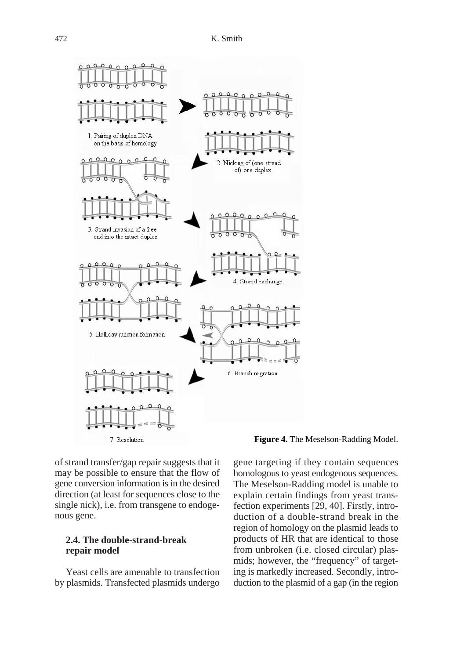

## **Figure 4.** The Meselson-Radding Model.

of strand transfer/gap repair suggests that it may be possible to ensure that the flow of gene conversion information is in the desired direction (at least for sequences close to the single nick), i.e. from transgene to endogenous gene.

## **2.4. The double-strand-break repair model**

Yeast cells are amenable to transfection by plasmids. Transfected plasmids undergo gene targeting if they contain sequences homologous to yeast endogenous sequences. The Meselson-Radding model is unable to explain certain findings from yeast transfection experiments [29, 40]. Firstly, introduction of a double-strand break in the region of homology on the plasmid leads to products of HR that are identical to those from unbroken (i.e. closed circular) plasmids; however, the "frequency" of targeting is markedly increased. Secondly, introduction to the plasmid of a gap (in the region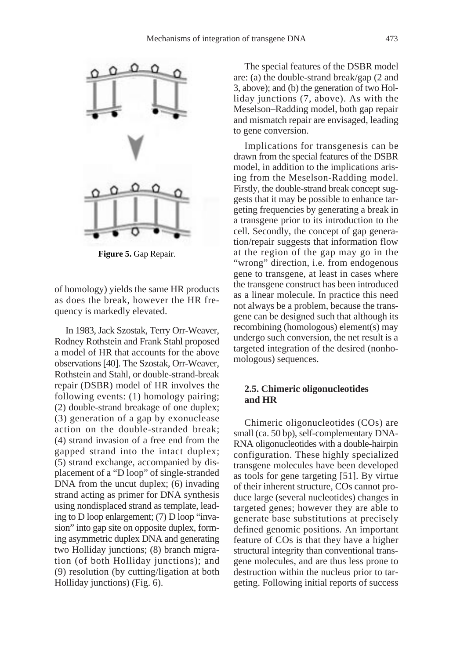

**Figure 5.** Gap Repair.

of homology) yields the same HR products as does the break, however the HR frequency is markedly elevated.

In 1983, Jack Szostak, Terry Orr-Weaver, Rodney Rothstein and Frank Stahl proposed a model of HR that accounts for the above observations [40]. The Szostak, Orr-Weaver, Rothstein and Stahl, or double-strand-break repair (DSBR) model of HR involves the following events: (1) homology pairing; (2) double-strand breakage of one duplex; (3) generation of a gap by exonuclease action on the double-stranded break; (4) strand invasion of a free end from the gapped strand into the intact duplex; (5) strand exchange, accompanied by displacement of a "D loop" of single-stranded DNA from the uncut duplex; (6) invading strand acting as primer for DNA synthesis using nondisplaced strand as template, leading to D loop enlargement; (7) D loop "invasion" into gap site on opposite duplex, forming asymmetric duplex DNA and generating two Holliday junctions; (8) branch migration (of both Holliday junctions); and (9) resolution (by cutting/ligation at both Holliday junctions) (Fig. 6).

The special features of the DSBR model are: (a) the double-strand break/gap (2 and 3, above); and (b) the generation of two Holliday junctions (7, above). As with the Meselson–Radding model, both gap repair and mismatch repair are envisaged, leading to gene conversion.

Implications for transgenesis can be drawn from the special features of the DSBR model, in addition to the implications arising from the Meselson-Radding model. Firstly, the double-strand break concept suggests that it may be possible to enhance targeting frequencies by generating a break in a transgene prior to its introduction to the cell. Secondly, the concept of gap generation/repair suggests that information flow at the region of the gap may go in the "wrong" direction, i.e. from endogenous gene to transgene, at least in cases where the transgene construct has been introduced as a linear molecule. In practice this need not always be a problem, because the transgene can be designed such that although its recombining (homologous) element(s) may undergo such conversion, the net result is a targeted integration of the desired (nonhomologous) sequences.

## **2.5. Chimeric oligonucleotides and HR**

Chimeric oligonucleotides (COs) are small (ca. 50 bp), self-complementary DNA-RNA oligonucleotides with a double-hairpin configuration. These highly specialized transgene molecules have been developed as tools for gene targeting [51]. By virtue of their inherent structure, COs cannot produce large (several nucleotides) changes in targeted genes; however they are able to generate base substitutions at precisely defined genomic positions. An important feature of COs is that they have a higher structural integrity than conventional transgene molecules, and are thus less prone to destruction within the nucleus prior to targeting. Following initial reports of success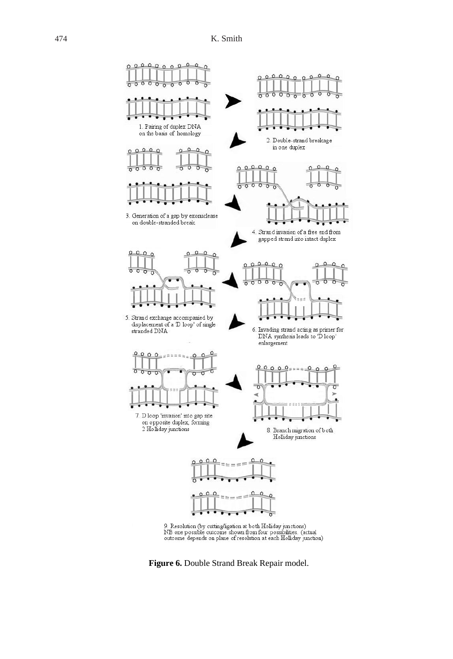

**Figure 6.** Double Strand Break Repair model.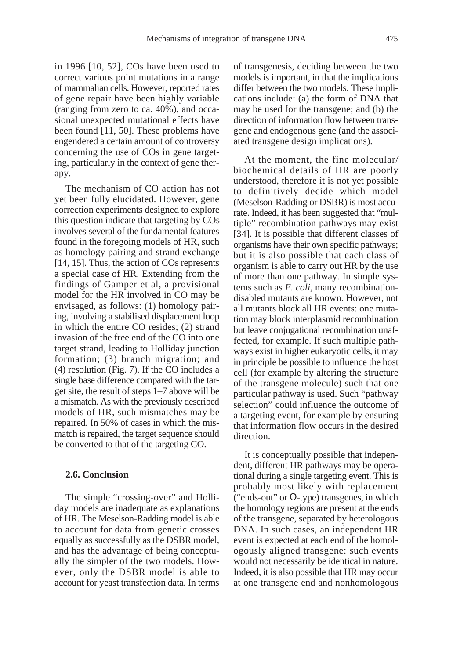in 1996 [10, 52], COs have been used to correct various point mutations in a range of mammalian cells. However, reported rates of gene repair have been highly variable (ranging from zero to ca. 40%), and occasional unexpected mutational effects have been found [11, 50]. These problems have engendered a certain amount of controversy concerning the use of COs in gene targeting, particularly in the context of gene therapy.

The mechanism of CO action has not yet been fully elucidated. However, gene correction experiments designed to explore this question indicate that targeting by COs involves several of the fundamental features found in the foregoing models of HR, such as homology pairing and strand exchange [14, 15]. Thus, the action of COs represents a special case of HR. Extending from the findings of Gamper et al, a provisional model for the HR involved in CO may be envisaged, as follows: (1) homology pairing, involving a stabilised displacement loop in which the entire CO resides; (2) strand invasion of the free end of the CO into one target strand, leading to Holliday junction formation; (3) branch migration; and (4) resolution (Fig. 7). If the CO includes a single base difference compared with the target site, the result of steps 1–7 above will be a mismatch. As with the previously described models of HR, such mismatches may be repaired. In 50% of cases in which the mismatch is repaired, the target sequence should be converted to that of the targeting CO.

## **2.6. Conclusion**

The simple "crossing-over" and Holliday models are inadequate as explanations of HR. The Meselson-Radding model is able to account for data from genetic crosses equally as successfully as the DSBR model, and has the advantage of being conceptually the simpler of the two models. However, only the DSBR model is able to account for yeast transfection data. In terms of transgenesis, deciding between the two models is important, in that the implications differ between the two models. These implications include: (a) the form of DNA that may be used for the transgene; and (b) the direction of information flow between transgene and endogenous gene (and the associated transgene design implications).

At the moment, the fine molecular/ biochemical details of HR are poorly understood, therefore it is not yet possible to definitively decide which model (Meselson-Radding or DSBR) is most accurate. Indeed, it has been suggested that "multiple" recombination pathways may exist [34]. It is possible that different classes of organisms have their own specific pathways; but it is also possible that each class of organism is able to carry out HR by the use of more than one pathway. In simple systems such as *E. coli,* many recombinationdisabled mutants are known. However, not all mutants block all HR events: one mutation may block interplasmid recombination but leave conjugational recombination unaffected, for example. If such multiple pathways exist in higher eukaryotic cells, it may in principle be possible to influence the host cell (for example by altering the structure of the transgene molecule) such that one particular pathway is used. Such "pathway selection" could influence the outcome of a targeting event, for example by ensuring that information flow occurs in the desired direction.

It is conceptually possible that independent, different HR pathways may be operational during a single targeting event. This is probably most likely with replacement ("ends-out" or  $\Omega$ -type) transgenes, in which the homology regions are present at the ends of the transgene, separated by heterologous DNA. In such cases, an independent HR event is expected at each end of the homologously aligned transgene: such events would not necessarily be identical in nature. Indeed, it is also possible that HR may occur at one transgene end and nonhomologous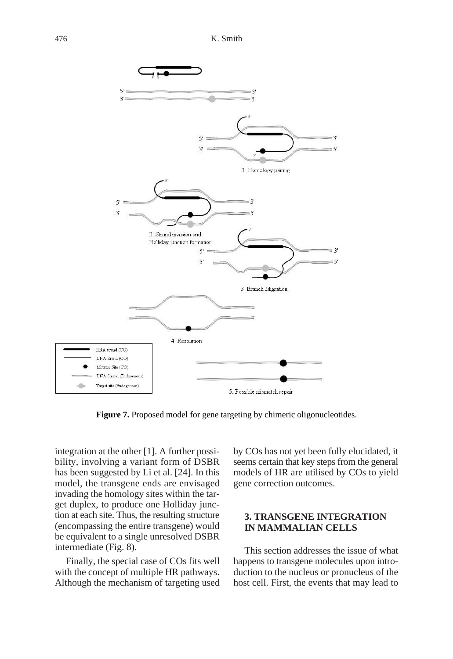

**Figure 7.** Proposed model for gene targeting by chimeric oligonucleotides.

integration at the other [1]. A further possibility, involving a variant form of DSBR has been suggested by Li et al. [24]. In this model, the transgene ends are envisaged invading the homology sites within the target duplex, to produce one Holliday junction at each site. Thus, the resulting structure (encompassing the entire transgene) would be equivalent to a single unresolved DSBR intermediate (Fig. 8).

Finally, the special case of COs fits well with the concept of multiple HR pathways. Although the mechanism of targeting used by COs has not yet been fully elucidated, it seems certain that key steps from the general models of HR are utilised by COs to yield gene correction outcomes.

## **3. TRANSGENE INTEGRATION IN MAMMALIAN CELLS**

This section addresses the issue of what happens to transgene molecules upon introduction to the nucleus or pronucleus of the host cell. First, the events that may lead to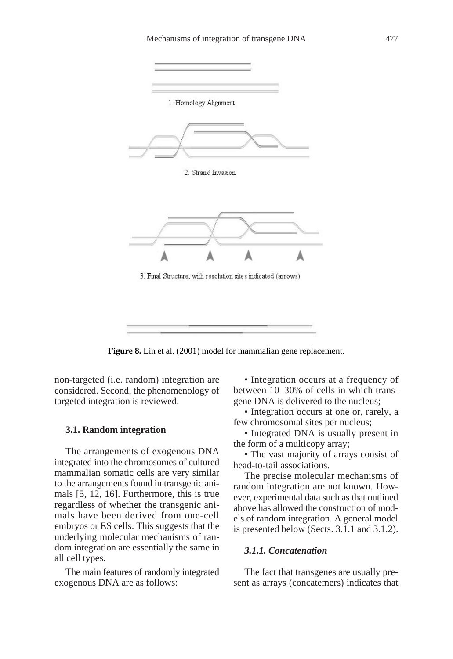

**Figure 8.** Lin et al. (2001) model for mammalian gene replacement.

non-targeted (i.e. random) integration are considered. Second, the phenomenology of targeted integration is reviewed.

#### **3.1. Random integration**

The arrangements of exogenous DNA integrated into the chromosomes of cultured mammalian somatic cells are very similar to the arrangements found in transgenic animals [5, 12, 16]. Furthermore, this is true regardless of whether the transgenic animals have been derived from one-cell embryos or ES cells. This suggests that the underlying molecular mechanisms of random integration are essentially the same in all cell types.

The main features of randomly integrated exogenous DNA are as follows:

• Integration occurs at a frequency of between 10–30% of cells in which transgene DNA is delivered to the nucleus;

• Integration occurs at one or, rarely, a few chromosomal sites per nucleus;

• Integrated DNA is usually present in the form of a multicopy array;

• The vast majority of arrays consist of head-to-tail associations.

The precise molecular mechanisms of random integration are not known. However, experimental data such as that outlined above has allowed the construction of models of random integration. A general model is presented below (Sects. 3.1.1 and 3.1.2).

## *3.1.1. Concatenation*

The fact that transgenes are usually present as arrays (concatemers) indicates that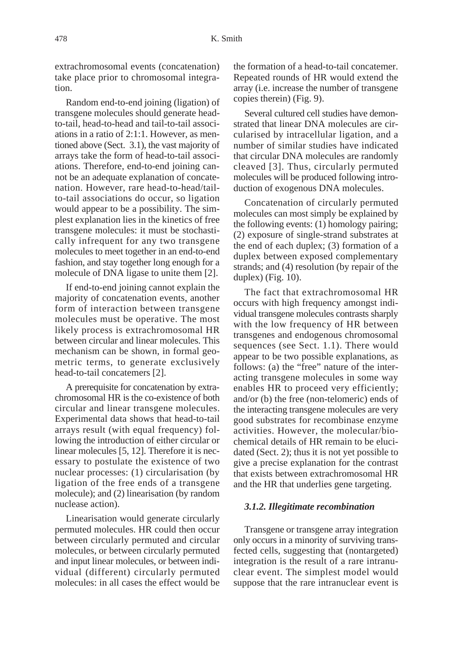extrachromosomal events (concatenation) take place prior to chromosomal integration.

Random end-to-end joining (ligation) of transgene molecules should generate headto-tail, head-to-head and tail-to-tail associations in a ratio of 2:1:1. However, as mentioned above (Sect. 3.1), the vast majority of arrays take the form of head-to-tail associations. Therefore, end-to-end joining cannot be an adequate explanation of concatenation. However, rare head-to-head/tailto-tail associations do occur, so ligation would appear to be a possibility. The simplest explanation lies in the kinetics of free transgene molecules: it must be stochastically infrequent for any two transgene molecules to meet together in an end-to-end fashion, and stay together long enough for a molecule of DNA ligase to unite them [2].

If end-to-end joining cannot explain the majority of concatenation events, another form of interaction between transgene molecules must be operative. The most likely process is extrachromosomal HR between circular and linear molecules. This mechanism can be shown, in formal geometric terms, to generate exclusively head-to-tail concatemers [2].

A prerequisite for concatenation by extrachromosomal HR is the co-existence of both circular and linear transgene molecules. Experimental data shows that head-to-tail arrays result (with equal frequency) following the introduction of either circular or linear molecules [5, 12]. Therefore it is necessary to postulate the existence of two nuclear processes: (1) circularisation (by ligation of the free ends of a transgene molecule); and (2) linearisation (by random nuclease action).

Linearisation would generate circularly permuted molecules. HR could then occur between circularly permuted and circular molecules, or between circularly permuted and input linear molecules, or between individual (different) circularly permuted molecules: in all cases the effect would be the formation of a head-to-tail concatemer. Repeated rounds of HR would extend the array (i.e. increase the number of transgene copies therein) (Fig. 9).

Several cultured cell studies have demonstrated that linear DNA molecules are circularised by intracellular ligation, and a number of similar studies have indicated that circular DNA molecules are randomly cleaved [3]. Thus, circularly permuted molecules will be produced following introduction of exogenous DNA molecules.

Concatenation of circularly permuted molecules can most simply be explained by the following events: (1) homology pairing; (2) exposure of single-strand substrates at the end of each duplex; (3) formation of a duplex between exposed complementary strands; and (4) resolution (by repair of the duplex) (Fig. 10).

The fact that extrachromosomal HR occurs with high frequency amongst individual transgene molecules contrasts sharply with the low frequency of HR between transgenes and endogenous chromosomal sequences (see Sect. 1.1). There would appear to be two possible explanations, as follows: (a) the "free" nature of the interacting transgene molecules in some way enables HR to proceed very efficiently; and/or (b) the free (non-telomeric) ends of the interacting transgene molecules are very good substrates for recombinase enzyme activities. However, the molecular/biochemical details of HR remain to be elucidated (Sect. 2); thus it is not yet possible to give a precise explanation for the contrast that exists between extrachromosomal HR and the HR that underlies gene targeting.

## *3.1.2. Illegitimate recombination*

Transgene or transgene array integration only occurs in a minority of surviving transfected cells, suggesting that (nontargeted) integration is the result of a rare intranuclear event. The simplest model would suppose that the rare intranuclear event is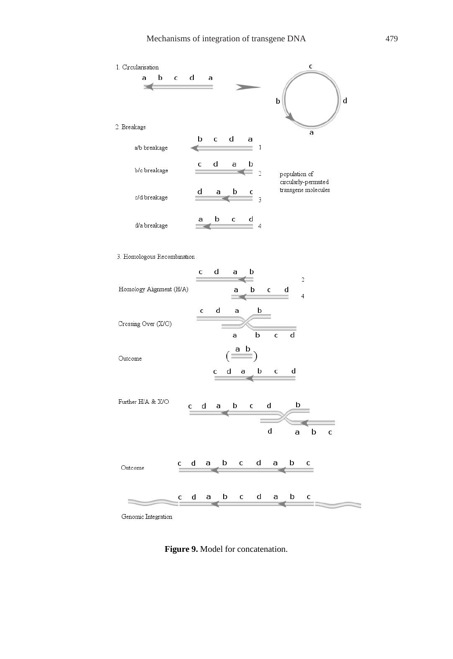

Genomic Integration

**Figure 9.** Model for concatenation.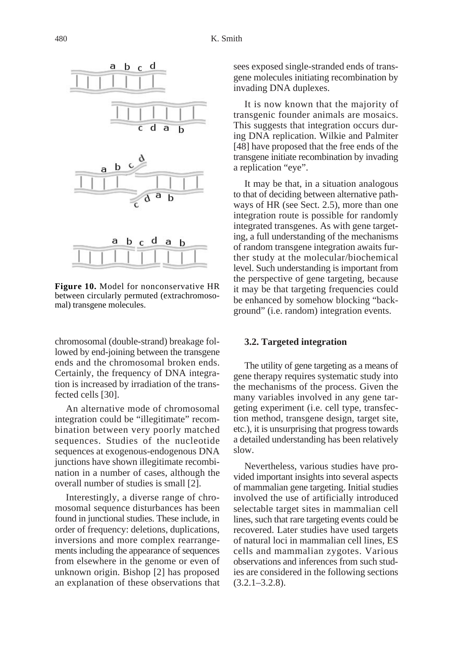

**Figure 10.** Model for nonconservative HR between circularly permuted (extrachromosomal) transgene molecules.

chromosomal (double-strand) breakage followed by end-joining between the transgene ends and the chromosomal broken ends. Certainly, the frequency of DNA integration is increased by irradiation of the transfected cells [30].

An alternative mode of chromosomal integration could be "illegitimate" recombination between very poorly matched sequences. Studies of the nucleotide sequences at exogenous-endogenous DNA junctions have shown illegitimate recombination in a number of cases, although the overall number of studies is small [2].

Interestingly, a diverse range of chromosomal sequence disturbances has been found in junctional studies. These include, in order of frequency: deletions, duplications, inversions and more complex rearrangements including the appearance of sequences from elsewhere in the genome or even of unknown origin. Bishop [2] has proposed an explanation of these observations that sees exposed single-stranded ends of transgene molecules initiating recombination by invading DNA duplexes.

It is now known that the majority of transgenic founder animals are mosaics. This suggests that integration occurs during DNA replication. Wilkie and Palmiter [48] have proposed that the free ends of the transgene initiate recombination by invading a replication "eye".

It may be that, in a situation analogous to that of deciding between alternative pathways of HR (see Sect. 2.5), more than one integration route is possible for randomly integrated transgenes. As with gene targeting, a full understanding of the mechanisms of random transgene integration awaits further study at the molecular/biochemical level. Such understanding is important from the perspective of gene targeting, because it may be that targeting frequencies could be enhanced by somehow blocking "background" (i.e. random) integration events.

#### **3.2. Targeted integration**

The utility of gene targeting as a means of gene therapy requires systematic study into the mechanisms of the process. Given the many variables involved in any gene targeting experiment (i.e. cell type, transfection method, transgene design, target site, etc.), it is unsurprising that progress towards a detailed understanding has been relatively slow.

Nevertheless, various studies have provided important insights into several aspects of mammalian gene targeting. Initial studies involved the use of artificially introduced selectable target sites in mammalian cell lines, such that rare targeting events could be recovered. Later studies have used targets of natural loci in mammalian cell lines, ES cells and mammalian zygotes. Various observations and inferences from such studies are considered in the following sections  $(3.2.1 - 3.2.8)$ .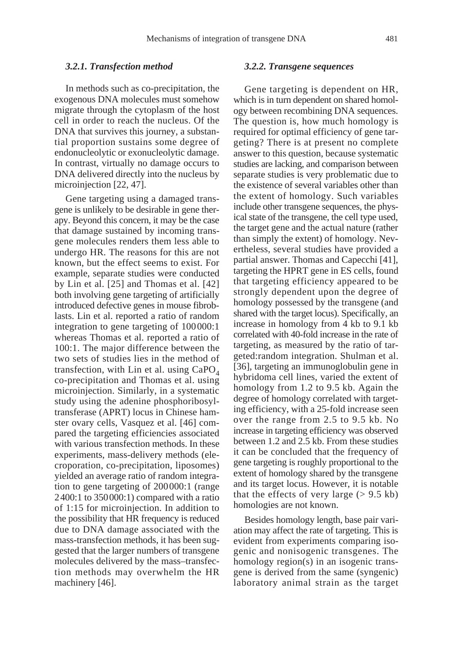## *3.2.1. Transfection method*

In methods such as co-precipitation, the exogenous DNA molecules must somehow migrate through the cytoplasm of the host cell in order to reach the nucleus. Of the DNA that survives this journey, a substantial proportion sustains some degree of endonucleolytic or exonucleolytic damage. In contrast, virtually no damage occurs to DNA delivered directly into the nucleus by microinjection [22, 47].

Gene targeting using a damaged transgene is unlikely to be desirable in gene therapy. Beyond this concern, it may be the case that damage sustained by incoming transgene molecules renders them less able to undergo HR. The reasons for this are not known, but the effect seems to exist. For example, separate studies were conducted by Lin et al. [25] and Thomas et al. [42] both involving gene targeting of artificially introduced defective genes in mouse fibroblasts. Lin et al. reported a ratio of random integration to gene targeting of 100000:1 whereas Thomas et al. reported a ratio of 100:1. The major difference between the two sets of studies lies in the method of transfection, with Lin et al. using  $CaPO<sub>4</sub>$ co-precipitation and Thomas et al. using microinjection. Similarly, in a systematic study using the adenine phosphoribosyltransferase (APRT) locus in Chinese hamster ovary cells, Vasquez et al. [46] compared the targeting efficiencies associated with various transfection methods. In these experiments, mass-delivery methods (elecroporation, co-precipitation, liposomes) yielded an average ratio of random integration to gene targeting of 200000:1 (range 2400:1 to 350000:1) compared with a ratio of 1:15 for microinjection. In addition to the possibility that HR frequency is reduced due to DNA damage associated with the mass-transfection methods, it has been suggested that the larger numbers of transgene molecules delivered by the mass–transfection methods may overwhelm the HR machinery [46].

#### *3.2.2. Transgene sequences*

Gene targeting is dependent on HR, which is in turn dependent on shared homology between recombining DNA sequences. The question is, how much homology is required for optimal efficiency of gene targeting? There is at present no complete answer to this question, because systematic studies are lacking, and comparison between separate studies is very problematic due to the existence of several variables other than the extent of homology. Such variables include other transgene sequences, the physical state of the transgene, the cell type used, the target gene and the actual nature (rather than simply the extent) of homology. Nevertheless, several studies have provided a partial answer. Thomas and Capecchi [41], targeting the HPRT gene in ES cells, found that targeting efficiency appeared to be strongly dependent upon the degree of homology possessed by the transgene (and shared with the target locus). Specifically, an increase in homology from 4 kb to 9.1 kb correlated with 40-fold increase in the rate of targeting, as measured by the ratio of targeted:random integration. Shulman et al. [36], targeting an immunoglobulin gene in hybridoma cell lines, varied the extent of homology from 1.2 to 9.5 kb. Again the degree of homology correlated with targeting efficiency, with a 25-fold increase seen over the range from 2.5 to 9.5 kb. No increase in targeting efficiency was observed between 1.2 and 2.5 kb. From these studies it can be concluded that the frequency of gene targeting is roughly proportional to the extent of homology shared by the transgene and its target locus. However, it is notable that the effects of very large  $(> 9.5 \text{ kb})$ homologies are not known.

Besides homology length, base pair variation may affect the rate of targeting. This is evident from experiments comparing isogenic and nonisogenic transgenes. The homology region(s) in an isogenic transgene is derived from the same (syngenic) laboratory animal strain as the target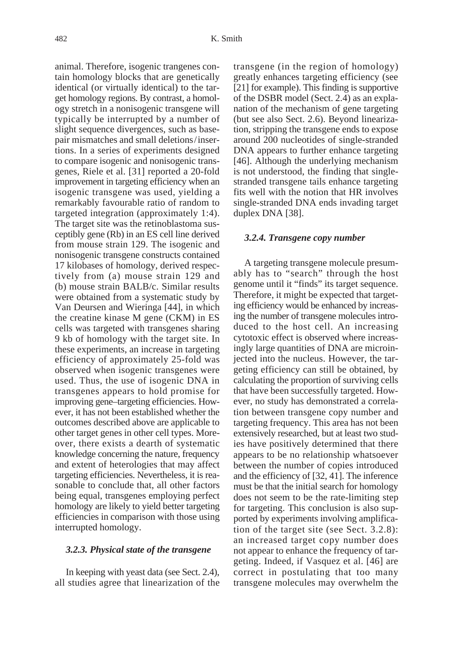animal. Therefore, isogenic trangenes contain homology blocks that are genetically identical (or virtually identical) to the target homology regions. By contrast, a homology stretch in a nonisogenic transgene will typically be interrupted by a number of slight sequence divergences, such as basepair mismatches and small deletions/insertions. In a series of experiments designed to compare isogenic and nonisogenic transgenes, Riele et al. [31] reported a 20-fold improvement in targeting efficiency when an isogenic transgene was used, yielding a remarkably favourable ratio of random to targeted integration (approximately 1:4). The target site was the retinoblastoma susceptibly gene (Rb) in an ES cell line derived from mouse strain 129. The isogenic and nonisogenic transgene constructs contained 17 kilobases of homology, derived respectively from (a) mouse strain 129 and (b) mouse strain BALB/c. Similar results were obtained from a systematic study by Van Deursen and Wieringa [44], in which the creatine kinase M gene (CKM) in ES cells was targeted with transgenes sharing 9 kb of homology with the target site. In these experiments, an increase in targeting efficiency of approximately 25-fold was observed when isogenic transgenes were used. Thus, the use of isogenic DNA in transgenes appears to hold promise for improving gene–targeting efficiencies. However, it has not been established whether the outcomes described above are applicable to other target genes in other cell types. Moreover, there exists a dearth of systematic knowledge concerning the nature, frequency and extent of heterologies that may affect targeting efficiencies. Nevertheless, it is reasonable to conclude that, all other factors being equal, transgenes employing perfect homology are likely to yield better targeting efficiencies in comparison with those using interrupted homology.

#### *3.2.3. Physical state of the transgene*

In keeping with yeast data (see Sect. 2.4), all studies agree that linearization of the transgene (in the region of homology) greatly enhances targeting efficiency (see [21] for example). This finding is supportive of the DSBR model (Sect. 2.4) as an explanation of the mechanism of gene targeting (but see also Sect. 2.6). Beyond linearization, stripping the transgene ends to expose around 200 nucleotides of single-stranded DNA appears to further enhance targeting [46]. Although the underlying mechanism is not understood, the finding that singlestranded transgene tails enhance targeting fits well with the notion that HR involves single-stranded DNA ends invading target duplex DNA [38].

#### *3.2.4. Transgene copy number*

A targeting transgene molecule presumably has to "search" through the host genome until it "finds" its target sequence. Therefore, it might be expected that targeting efficiency would be enhanced by increasing the number of transgene molecules introduced to the host cell. An increasing cytotoxic effect is observed where increasingly large quantities of DNA are microinjected into the nucleus. However, the targeting efficiency can still be obtained, by calculating the proportion of surviving cells that have been successfully targeted. However, no study has demonstrated a correlation between transgene copy number and targeting frequency. This area has not been extensively researched, but at least two studies have positively determined that there appears to be no relationship whatsoever between the number of copies introduced and the efficiency of [32, 41]. The inference must be that the initial search for homology does not seem to be the rate-limiting step for targeting. This conclusion is also supported by experiments involving amplification of the target site (see Sect. 3.2.8): an increased target copy number does not appear to enhance the frequency of targeting. Indeed, if Vasquez et al. [46] are correct in postulating that too many transgene molecules may overwhelm the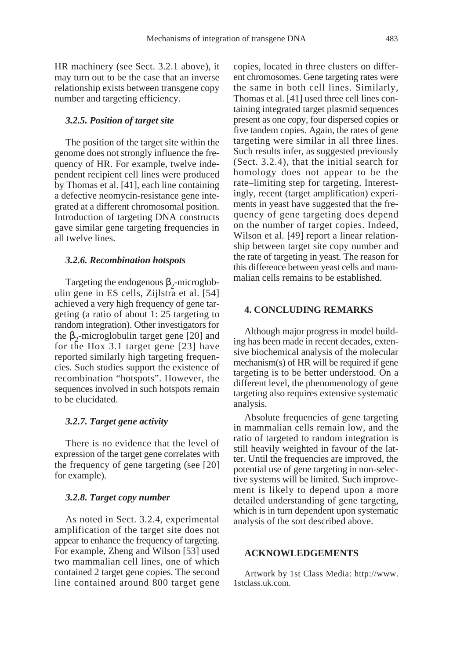HR machinery (see Sect. 3.2.1 above), it may turn out to be the case that an inverse relationship exists between transgene copy number and targeting efficiency.

## *3.2.5. Position of target site*

The position of the target site within the genome does not strongly influence the frequency of HR. For example, twelve independent recipient cell lines were produced by Thomas et al. [41], each line containing a defective neomycin-resistance gene integrated at a different chromosomal position. Introduction of targeting DNA constructs gave similar gene targeting frequencies in all twelve lines.

#### *3.2.6. Recombination hotspots*

Targeting the endogenous  $\beta_2$ -microglobulin gene in ES cells, Zijlstra et al. [54] achieved a very high frequency of gene targeting (a ratio of about 1: 25 targeting to random integration). Other investigators for the  $\beta_2$ -microglobulin target gene [20] and for the Hox 3.1 target gene [23] have reported similarly high targeting frequencies. Such studies support the existence of recombination "hotspots". However, the sequences involved in such hotspots remain to be elucidated.

## *3.2.7. Target gene activity*

There is no evidence that the level of expression of the target gene correlates with the frequency of gene targeting (see [20] for example).

#### *3.2.8. Target copy number*

As noted in Sect. 3.2.4, experimental amplification of the target site does not appear to enhance the frequency of targeting. For example, Zheng and Wilson [53] used two mammalian cell lines, one of which contained 2 target gene copies. The second line contained around 800 target gene copies, located in three clusters on different chromosomes. Gene targeting rates were the same in both cell lines. Similarly, Thomas et al. [41] used three cell lines containing integrated target plasmid sequences present as one copy, four dispersed copies or five tandem copies. Again, the rates of gene targeting were similar in all three lines. Such results infer, as suggested previously (Sect. 3.2.4), that the initial search for homology does not appear to be the rate–limiting step for targeting. Interestingly, recent (target amplification) experiments in yeast have suggested that the frequency of gene targeting does depend on the number of target copies. Indeed, Wilson et al. [49] report a linear relationship between target site copy number and the rate of targeting in yeast. The reason for this difference between yeast cells and mammalian cells remains to be established.

## **4. CONCLUDING REMARKS**

Although major progress in model building has been made in recent decades, extensive biochemical analysis of the molecular mechanism(s) of HR will be required if gene targeting is to be better understood. On a different level, the phenomenology of gene targeting also requires extensive systematic analysis.

Absolute frequencies of gene targeting in mammalian cells remain low, and the ratio of targeted to random integration is still heavily weighted in favour of the latter. Until the frequencies are improved, the potential use of gene targeting in non-selective systems will be limited. Such improvement is likely to depend upon a more detailed understanding of gene targeting, which is in turn dependent upon systematic analysis of the sort described above.

## **ACKNOWLEDGEMENTS**

Artwork by 1st Class Media: http://www. 1stclass.uk.com.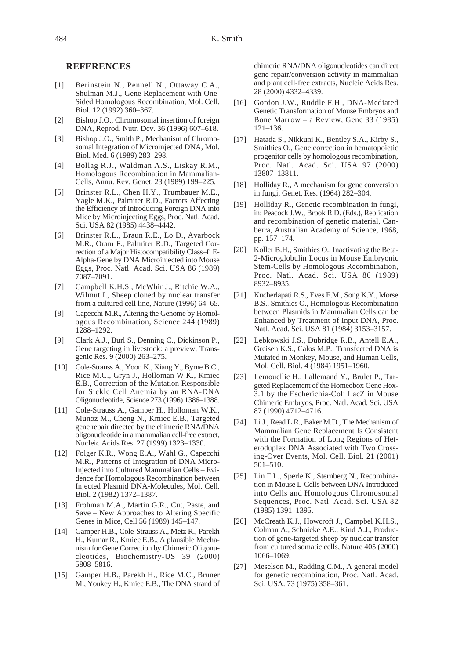## **REFERENCES**

- [1] Berinstein N., Pennell N., Ottaway C.A., Shulman M.J., Gene Replacement with One-Sided Homologous Recombination, Mol. Cell. Biol. 12 (1992) 360–367.
- [2] Bishop J.O., Chromosomal insertion of foreign DNA, Reprod. Nutr. Dev. 36 (1996) 607–618.
- [3] Bishop J.O., Smith P., Mechanism of Chromosomal Integration of Microinjected DNA, Mol. Biol. Med. 6 (1989) 283–298.
- [4] Bollag R.J., Waldman A.S., Liskay R.M., Homologous Recombination in Mammalian-Cells, Annu. Rev. Genet. 23 (1989) 199–225.
- [5] Brinster R.L., Chen H.Y., Trumbauer M.E., Yagle M.K., Palmiter R.D., Factors Affecting the Efficiency of Introducing Foreign DNA into Mice by Microinjecting Eggs, Proc. Natl. Acad. Sci. USA 82 (1985) 4438–4442.
- [6] Brinster R.L., Braun R.E., Lo D., Avarbock M.R., Oram F., Palmiter R.D., Targeted Correction of a Major Histocompatibility Class–Ii E-Alpha-Gene by DNA Microinjected into Mouse Eggs, Proc. Natl. Acad. Sci. USA 86 (1989) 7087–7091.
- [7] Campbell K.H.S., McWhir J., Ritchie W.A., Wilmut I., Sheep cloned by nuclear transfer from a cultured cell line, Nature (1996) 64–65.
- [8] Capecchi M.R., Altering the Genome by Homologous Recombination, Science 244 (1989) 1288–1292.
- [9] Clark A.J., Burl S., Denning C., Dickinson P., Gene targeting in livestock: a preview, Transgenic Res. 9 (2000) 263–275.
- [10] Cole-Strauss A., Yoon K., Xiang Y., Byrne B.C., Rice M.C., Gryn J., Holloman W.K., Kmiec E.B., Correction of the Mutation Responsible for Sickle Cell Anemia by an RNA-DNA Oligonucleotide, Science 273 (1996) 1386–1388.
- [11] Cole-Strauss A., Gamper H., Holloman W.K., Munoz M., Cheng N., Kmiec E.B., Targeted gene repair directed by the chimeric RNA/DNA oligonucleotide in a mammalian cell-free extract, Nucleic Acids Res. 27 (1999) 1323–1330.
- [12] Folger K.R., Wong E.A., Wahl G., Capecchi M.R., Patterns of Integration of DNA Micro-Injected into Cultured Mammalian Cells – Evidence for Homologous Recombination between Injected Plasmid DNA-Molecules, Mol. Cell. Biol. 2 (1982) 1372–1387.
- [13] Frohman M.A., Martin G.R., Cut, Paste, and Save – New Approaches to Altering Specific Genes in Mice, Cell 56 (1989) 145–147.
- [14] Gamper H.B., Cole-Strauss A., Metz R., Parekh H., Kumar R., Kmiec E.B., A plausible Mechanism for Gene Correction by Chimeric Oligonucleotides, Biochemistry-US 39 (2000) 5808–5816.
- [15] Gamper H.B., Parekh H., Rice M.C., Bruner M., Youkey H., Kmiec E.B., The DNA strand of

chimeric RNA/DNA oligonucleotides can direct gene repair/conversion activity in mammalian and plant cell-free extracts, Nucleic Acids Res. 28 (2000) 4332–4339.

- [16] Gordon J.W., Ruddle F.H., DNA-Mediated Genetic Transformation of Mouse Embryos and Bone Marrow – a Review, Gene 33 (1985) 121–136.
- [17] Hatada S., Nikkuni K., Bentley S.A., Kirby S., Smithies O., Gene correction in hematopoietic progenitor cells by homologous recombination, Proc. Natl. Acad. Sci. USA 97 (2000) 13807–13811.
- [18] Holliday R., A mechanism for gene conversion in fungi, Genet. Res. (1964) 282–304.
- [19] Holliday R., Genetic recombination in fungi, in: Peacock J.W., Brook R.D. (Eds.), Replication and recombination of genetic material, Canberra, Australian Academy of Science, 1968, pp. 157–174.
- [20] Koller B.H., Smithies O., Inactivating the Beta-2-Microglobulin Locus in Mouse Embryonic Stem-Cells by Homologous Recombination, Proc. Natl. Acad. Sci. USA 86 (1989) 8932–8935.
- [21] Kucherlapati R.S., Eves E.M., Song K.Y., Morse B.S., Smithies O., Homologous Recombination between Plasmids in Mammalian Cells can be Enhanced by Treatment of Input DNA, Proc. Natl. Acad. Sci. USA 81 (1984) 3153–3157.
- [22] Lebkowski J.S., Dubridge R.B., Antell E.A., Greisen K.S., Calos M.P., Transfected DNA is Mutated in Monkey, Mouse, and Human Cells, Mol. Cell. Biol. 4 (1984) 1951–1960.
- [23] Lemouellic H., Lallemand Y., Brulet P., Targeted Replacement of the Homeobox Gene Hox-3.1 by the Escherichia-Coli LacZ in Mouse Chimeric Embryos, Proc. Natl. Acad. Sci. USA 87 (1990) 4712–4716.
- [24] Li J., Read L.R., Baker M.D., The Mechanism of Mammalian Gene Replacement Is Consistent with the Formation of Long Regions of Heteroduplex DNA Associated with Two Crossing-Over Events, Mol. Cell. Biol. 21 (2001) 501–510.
- [25] Lin F.L., Sperle K., Sternberg N., Recombination in Mouse L-Cells between DNA Introduced into Cells and Homologous Chromosomal Sequences, Proc. Natl. Acad. Sci. USA 82 (1985) 1391–1395.
- [26] McCreath K.J., Howcroft J., Campbel K.H.S., Colman A., Schnieke A.E., Kind A.J., Production of gene-targeted sheep by nuclear transfer from cultured somatic cells, Nature 405 (2000) 1066–1069.
- [27] Meselson M., Radding C.M., A general model for genetic recombination, Proc. Natl. Acad. Sci. USA. 73 (1975) 358–361.